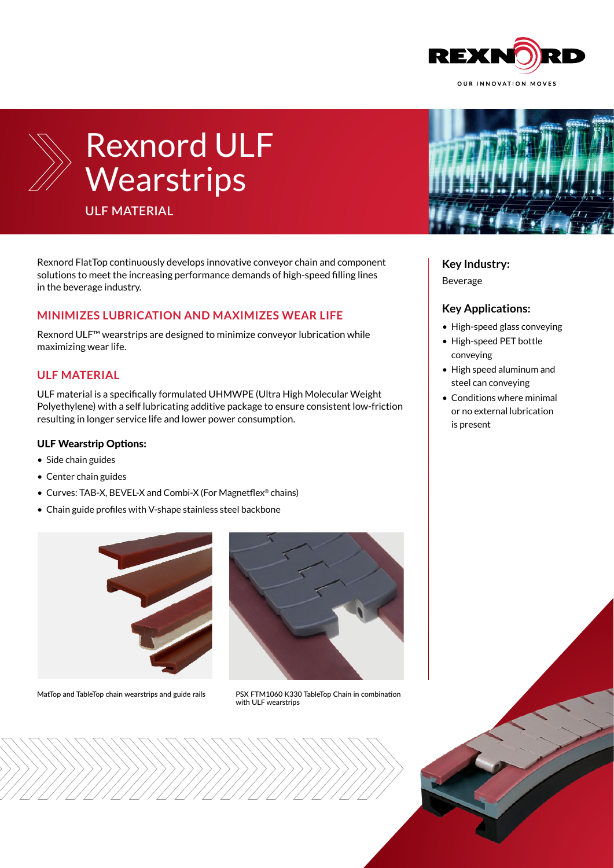



# Rexnord ULF **Wearstrips**

**ULF MATERIAL**

Rexnord FlatTop continuously develops innovative conveyor chain and component solutions to meet the increasing performance demands of high-speed filling lines in the beverage industry.

### **MINIMIZES LUBRICATION AND MAXIMIZES WEAR LIFE**

Rexnord ULF™ wearstrips are designed to minimize conveyor lubrication while maximizing wear life.

### **ULF MATERIAL**

ULF material is a specifically formulated UHMWPE (Ultra High Molecular Weight Polyethylene) with a self lubricating additive package to ensure consistent low-friction resulting in longer service life and lower power consumption.

#### ULF Wearstrip Options:

- Side chain guides
- Center chain guides
- Curves: TAB-X, BEVEL-X and Combi-X (For Magnetflex® chains)
- Chain guide profiles with V-shape stainless steel backbone



MatTop and TableTop chain wearstrips and guide rails PSX FTM1060 K330 TableTop Chain in combination



with ULF wearstrips



#### **Key Industry:**

Beverage

#### **Key Applications:**

- High-speed glass conveying
- High-speed PET bottle conveying
- High speed aluminum and steel can conveying
- Conditions where minimal or no external lubrication is present